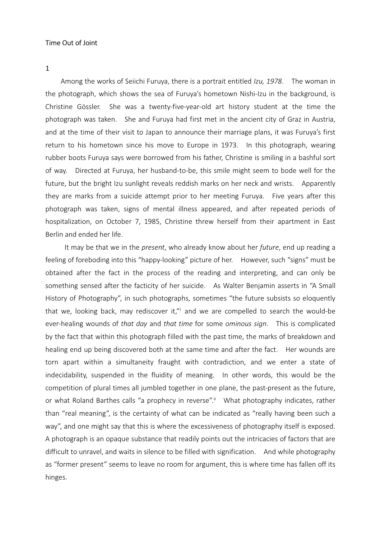1

Among the works of Seiichi Furuya, there is a portrait entitled Izu, 1978. The woman in the photograph, which shows the sea of Furuya's hometown Nishi-Izu in the background, is Christine Gössler. She was a twenty-five-year-old art history student at the time the photograph was taken. She and Furuya had first met in the ancient city of Graz in Austria, and at the time of their visit to Japan to announce their marriage plans, it was Furuya's first return to his hometown since his move to Europe in 1973. In this photograph, wearing rubber boots Furuya says were borrowed from his father, Christine is smiling in a bashful sort of way. Directed at Furuya, her husband-to-be, this smile might seem to bode well for the future, but the bright Izu sunlight reveals reddish marks on her neck and wrists. Apparently they are marks from a suicide attempt prior to her meeting Furuya. Five years after this photograph was taken, signs of mental illness appeared, and after repeated periods of hospitalization, on October 7, 1985, Christine threw herself from their apartment in East Berlin and ended her life.

It may be that we in the present, who already know about her future, end up reading a feeling of foreboding into this "happy-looking" picture of her. However, such "signs" must be obtained after the fact in the process of the reading and interpreting, and can only be something sensed after the facticity of her suicide. As Walter Benjamin asserts in "A Small History of Photography", in such photographs, sometimes "the future subsists so eloquently that we, looking back, may rediscover it," and we are compelled to search the would-be ever-healing wounds of that day and that time for some ominous sign. This is complicated by the fact that within this photograph filled with the past time, the marks of breakdown and healing end up being discovered both at the same time and after the fact. Her wounds are torn apart within a simultaneity fraught with contradiction, and we enter a state of indecidability, suspended in the fluidity of meaning. In other words, this would be the competition of plural times all jumbled together in one plane, the past-present as the future, or what Roland Barthes calls "a prophecy in reverse".<sup>ii</sup> What photography indicates, rather than "real meaning", is the certainty of what can be indicated as "really having been such a way", and one might say that this is where the excessiveness of photography itself is exposed. A photograph is an opaque substance that readily points out the intricacies of factors that are difficult to unravel, and waits in silence to be filled with signification. And while photography as "former present" seems to leave no room for argument, this is where time has fallen off its hinges.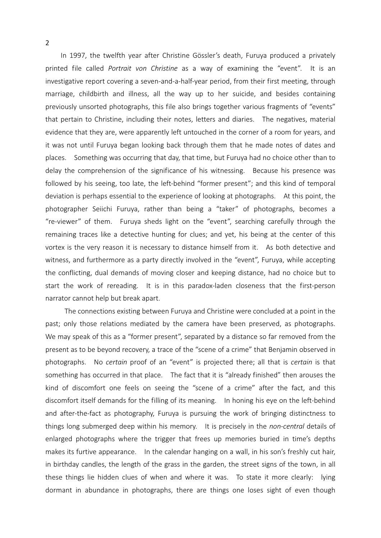In 1997, the twelfth year after Christine Gössler's death, Furuya produced a privately printed file called *Portrait von Christine* as a way of examining the "event". It is an investigative report covering a seven-and-a-half-year period, from their first meeting, through marriage, childbirth and illness, all the way up to her suicide, and besides containing previously unsorted photographs, this file also brings together various fragments of "events" that pertain to Christine, including their notes, letters and diaries. The negatives, material evidence that they are, were apparently left untouched in the corner of a room for years, and it was not until Furuya began looking back through them that he made notes of dates and places. Something was occurring that day, that time, but Furuya had no choice other than to delay the comprehension of the significance of his witnessing. Because his presence was followed by his seeing, too late, the left-behind "former present"; and this kind of temporal deviation is perhaps essential to the experience of looking at photographs. At this point, the photographer Seiichi Furuya, rather than being a "taker" of photographs, becomes a "re-viewer" of them. Furuya sheds light on the "event", searching carefully through the remaining traces like a detective hunting for clues; and yet, his being at the center of this vortex is the very reason it is necessary to distance himself from it. As both detective and witness, and furthermore as a party directly involved in the "event", Furuya, while accepting the conflicting, dual demands of moving closer and keeping distance, had no choice but to start the work of rereading. It is in this paradox-laden closeness that the first-person narrator cannot help but break apart.

 The connections existing between Furuya and Christine were concluded at a point in the past; only those relations mediated by the camera have been preserved, as photographs. We may speak of this as a "former present", separated by a distance so far removed from the present as to be beyond recovery, a trace of the "scene of a crime" that Benjamin observed in photographs. No certain proof of an "event" is projected there; all that is certain is that something has occurred in that place. The fact that it is "already finished" then arouses the kind of discomfort one feels on seeing the "scene of a crime" after the fact, and this discomfort itself demands for the filling of its meaning. In honing his eye on the left-behind and after-the-fact as photography, Furuya is pursuing the work of bringing distinctness to things long submerged deep within his memory. It is precisely in the *non-central* details of enlarged photographs where the trigger that frees up memories buried in time's depths makes its furtive appearance. In the calendar hanging on a wall, in his son's freshly cut hair, in birthday candles, the length of the grass in the garden, the street signs of the town, in all these things lie hidden clues of when and where it was. To state it more clearly: lying dormant in abundance in photographs, there are things one loses sight of even though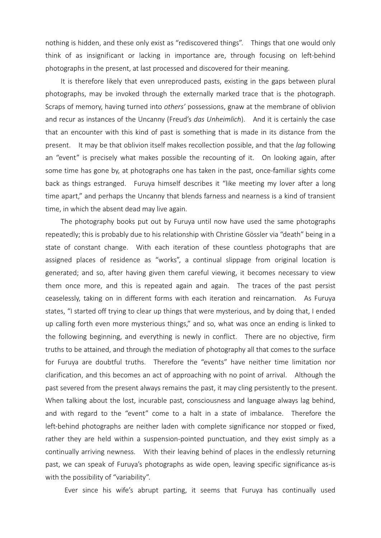nothing is hidden, and these only exist as "rediscovered things". Things that one would only think of as insignificant or lacking in importance are, through focusing on left-behind photographs in the present, at last processed and discovered for their meaning.

It is therefore likely that even unreproduced pasts, existing in the gaps between plural photographs, may be invoked through the externally marked trace that is the photograph. Scraps of memory, having turned into others' possessions, gnaw at the membrane of oblivion and recur as instances of the Uncanny (Freud's das Unheimlich). And it is certainly the case that an encounter with this kind of past is something that is made in its distance from the present. It may be that oblivion itself makes recollection possible, and that the *lag* following an "event" is precisely what makes possible the recounting of it. On looking again, after some time has gone by, at photographs one has taken in the past, once-familiar sights come back as things estranged. Furuya himself describes it "like meeting my lover after a long time apart," and perhaps the Uncanny that blends farness and nearness is a kind of transient time, in which the absent dead may live again.

The photography books put out by Furuya until now have used the same photographs repeatedly; this is probably due to his relationship with Christine Gössler via "death" being in a state of constant change. With each iteration of these countless photographs that are assigned places of residence as "works", a continual slippage from original location is generated; and so, after having given them careful viewing, it becomes necessary to view them once more, and this is repeated again and again. The traces of the past persist ceaselessly, taking on in different forms with each iteration and reincarnation. As Furuya states, "I started off trying to clear up things that were mysterious, and by doing that, I ended up calling forth even more mysterious things," and so, what was once an ending is linked to the following beginning, and everything is newly in conflict. There are no objective, firm truths to be attained, and through the mediation of photography all that comes to the surface for Furuya are doubtful truths. Therefore the "events" have neither time limitation nor clarification, and this becomes an act of approaching with no point of arrival. Although the past severed from the present always remains the past, it may cling persistently to the present. When talking about the lost, incurable past, consciousness and language always lag behind, and with regard to the "event" come to a halt in a state of imbalance. Therefore the left-behind photographs are neither laden with complete significance nor stopped or fixed, rather they are held within a suspension-pointed punctuation, and they exist simply as a continually arriving newness. With their leaving behind of places in the endlessly returning past, we can speak of Furuya's photographs as wide open, leaving specific significance as-is with the possibility of "variability".

Ever since his wife's abrupt parting, it seems that Furuya has continually used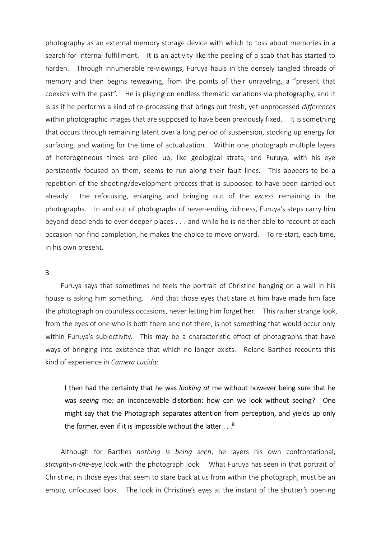photography as an external memory storage device with which to toss about memories in a search for internal fulfillment. It is an activity like the peeling of a scab that has started to harden. Through innumerable re-viewings, Furuya hauls in the densely tangled threads of memory and then begins reweaving, from the points of their unraveling, a "present that coexists with the past". He is playing on endless thematic variations via photography, and it is as if he performs a kind of re-processing that brings out fresh, yet-unprocessed differences within photographic images that are supposed to have been previously fixed. It is something that occurs through remaining latent over a long period of suspension, stocking up energy for surfacing, and waiting for the time of actualization. Within one photograph multiple layers of heterogeneous times are piled up, like geological strata, and Furuya, with his eye persistently focused on them, seems to run along their fault lines. This appears to be a repetition of the shooting/development process that is supposed to have been carried out already: the refocusing, enlarging and bringing out of the excess remaining in the photographs. In and out of photographs of never-ending richness, Furuya's steps carry him beyond dead-ends to ever deeper places . . . and while he is neither able to recount at each occasion nor find completion, he makes the choice to move onward. To re-start, each time, in his own present.

## 3

Furuya says that sometimes he feels the portrait of Christine hanging on a wall in his house is asking him something. And that those eyes that stare at him have made him face the photograph on countless occasions, never letting him forget her. This rather strange look, from the eyes of one who is both there and not there, is not something that would occur only within Furuya's subjectivity. This may be a characteristic effect of photographs that have ways of bringing into existence that which no longer exists. Roland Barthes recounts this kind of experience in Camera Lucida:

I then had the certainty that he was looking at me without however being sure that he was seeing me: an inconceivable distortion: how can we look without seeing? One might say that the Photograph separates attention from perception, and yields up only the former, even if it is impossible without the latter  $\dots$ .<sup>iii</sup>

Although for Barthes nothing is being seen, he layers his own confrontational, straight-in-the-eye look with the photograph look. What Furuya has seen in that portrait of Christine, in those eyes that seem to stare back at us from within the photograph, must be an empty, unfocused look. The look in Christine's eyes at the instant of the shutter's opening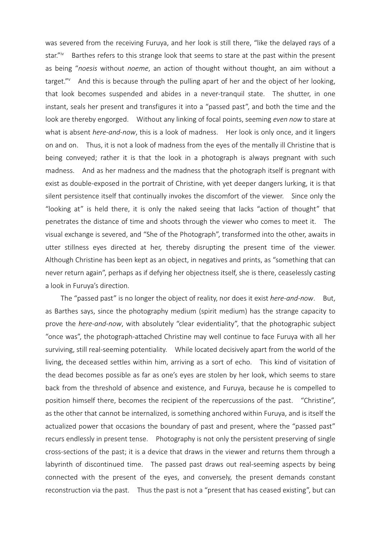was severed from the receiving Furuya, and her look is still there, "like the delayed rays of a star."<sup>iv</sup> Barthes refers to this strange look that seems to stare at the past within the present as being "noesis without noeme, an action of thought without thought, an aim without a target." $v$  And this is because through the pulling apart of her and the object of her looking, that look becomes suspended and abides in a never-tranquil state. The shutter, in one instant, seals her present and transfigures it into a "passed past", and both the time and the look are thereby engorged. Without any linking of focal points, seeming *even now* to stare at what is absent *here-and-now*, this is a look of madness. Her look is only once, and it lingers on and on. Thus, it is not a look of madness from the eyes of the mentally ill Christine that is being conveyed; rather it is that the look in a photograph is always pregnant with such madness. And as her madness and the madness that the photograph itself is pregnant with exist as double-exposed in the portrait of Christine, with yet deeper dangers lurking, it is that silent persistence itself that continually invokes the discomfort of the viewer. Since only the "looking at" is held there, it is only the naked seeing that lacks "action of thought" that penetrates the distance of time and shoots through the viewer who comes to meet it. The visual exchange is severed, and "She of the Photograph", transformed into the other, awaits in utter stillness eyes directed at her, thereby disrupting the present time of the viewer. Although Christine has been kept as an object, in negatives and prints, as "something that can never return again", perhaps as if defying her objectness itself, she is there, ceaselessly casting a look in Furuya's direction.

The "passed past" is no longer the object of reality, nor does it exist *here-and-now*. But, as Barthes says, since the photography medium (spirit medium) has the strange capacity to prove the here-and-now, with absolutely "clear evidentiality", that the photographic subject "once was", the photograph-attached Christine may well continue to face Furuya with all her surviving, still real-seeming potentiality. While located decisively apart from the world of the living, the deceased settles within him, arriving as a sort of echo. This kind of visitation of the dead becomes possible as far as one's eyes are stolen by her look, which seems to stare back from the threshold of absence and existence, and Furuya, because he is compelled to position himself there, becomes the recipient of the repercussions of the past. "Christine", as the other that cannot be internalized, is something anchored within Furuya, and is itself the actualized power that occasions the boundary of past and present, where the "passed past" recurs endlessly in present tense. Photography is not only the persistent preserving of single cross-sections of the past; it is a device that draws in the viewer and returns them through a labyrinth of discontinued time. The passed past draws out real-seeming aspects by being connected with the present of the eyes, and conversely, the present demands constant reconstruction via the past. Thus the past is not a "present that has ceased existing", but can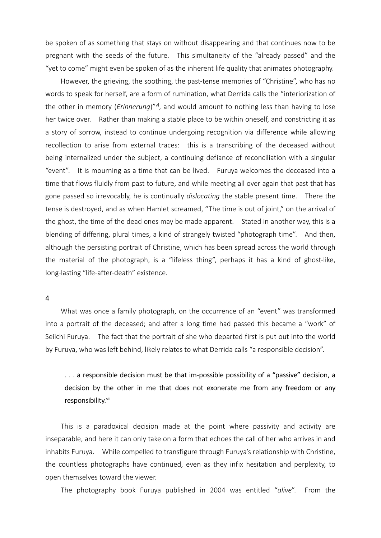be spoken of as something that stays on without disappearing and that continues now to be pregnant with the seeds of the future. This simultaneity of the "already passed" and the "yet to come" might even be spoken of as the inherent life quality that animates photography.

However, the grieving, the soothing, the past-tense memories of "Christine", who has no words to speak for herself, are a form of rumination, what Derrida calls the "interiorization of the other in memory (*Erinnerung*)"<sup>vi</sup>, and would amount to nothing less than having to lose her twice over. Rather than making a stable place to be within oneself, and constricting it as a story of sorrow, instead to continue undergoing recognition via difference while allowing recollection to arise from external traces: this is a transcribing of the deceased without being internalized under the subject, a continuing defiance of reconciliation with a singular "event". It is mourning as a time that can be lived. Furuya welcomes the deceased into a time that flows fluidly from past to future, and while meeting all over again that past that has gone passed so irrevocably, he is continually dislocating the stable present time. There the tense is destroyed, and as when Hamlet screamed, "The time is out of joint," on the arrival of the ghost, the time of the dead ones may be made apparent. Stated in another way, this is a blending of differing, plural times, a kind of strangely twisted "photograph time". And then, although the persisting portrait of Christine, which has been spread across the world through the material of the photograph, is a "lifeless thing", perhaps it has a kind of ghost-like, long-lasting "life-after-death" existence.

## 4

What was once a family photograph, on the occurrence of an "event" was transformed into a portrait of the deceased; and after a long time had passed this became a "work" of Seiichi Furuya. The fact that the portrait of she who departed first is put out into the world by Furuya, who was left behind, likely relates to what Derrida calls "a responsible decision".

. . . a responsible decision must be that im-possible possibility of a "passive" decision, a decision by the other in me that does not exonerate me from any freedom or any responsibility.<sup>vii</sup>

This is a paradoxical decision made at the point where passivity and activity are inseparable, and here it can only take on a form that echoes the call of her who arrives in and inhabits Furuya. While compelled to transfigure through Furuya's relationship with Christine, the countless photographs have continued, even as they infix hesitation and perplexity, to open themselves toward the viewer.

The photography book Furuya published in 2004 was entitled "alive". From the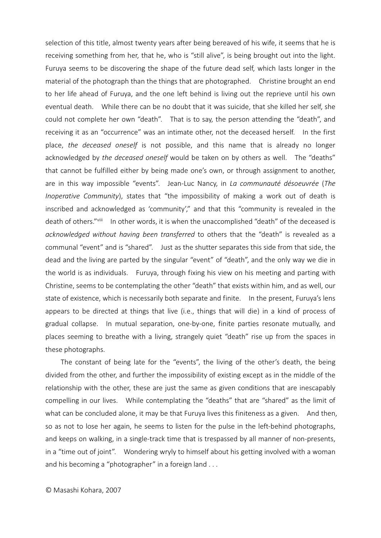selection of this title, almost twenty years after being bereaved of his wife, it seems that he is receiving something from her, that he, who is "still alive", is being brought out into the light. Furuya seems to be discovering the shape of the future dead self, which lasts longer in the material of the photograph than the things that are photographed. Christine brought an end to her life ahead of Furuya, and the one left behind is living out the reprieve until his own eventual death. While there can be no doubt that it was suicide, that she killed her self, she could not complete her own "death". That is to say, the person attending the "death", and receiving it as an "occurrence" was an intimate other, not the deceased herself. In the first place, the deceased oneself is not possible, and this name that is already no longer acknowledged by the deceased oneself would be taken on by others as well. The "deaths" that cannot be fulfilled either by being made one's own, or through assignment to another, are in this way impossible "events". Jean-Luc Nancy, in La communauté désoeuvrée (The Inoperative Community), states that "the impossibility of making a work out of death is inscribed and acknowledged as 'community'," and that this "community is revealed in the death of others."<sup>viii</sup> In other words, it is when the unaccomplished "death" of the deceased is acknowledged without having been transferred to others that the "death" is revealed as a communal "event" and is "shared". Just as the shutter separates this side from that side, the dead and the living are parted by the singular "event" of "death", and the only way we die in the world is as individuals. Furuya, through fixing his view on his meeting and parting with Christine, seems to be contemplating the other "death" that exists within him, and as well, our state of existence, which is necessarily both separate and finite. In the present, Furuya's lens appears to be directed at things that live (i.e., things that will die) in a kind of process of gradual collapse. In mutual separation, one-by-one, finite parties resonate mutually, and places seeming to breathe with a living, strangely quiet "death" rise up from the spaces in these photographs.

The constant of being late for the "events", the living of the other's death, the being divided from the other, and further the impossibility of existing except as in the middle of the relationship with the other, these are just the same as given conditions that are inescapably compelling in our lives. While contemplating the "deaths" that are "shared" as the limit of what can be concluded alone, it may be that Furuya lives this finiteness as a given. And then, so as not to lose her again, he seems to listen for the pulse in the left-behind photographs, and keeps on walking, in a single-track time that is trespassed by all manner of non-presents, in a "time out of joint". Wondering wryly to himself about his getting involved with a woman and his becoming a "photographer" in a foreign land . . .

© Masashi Kohara, 2007